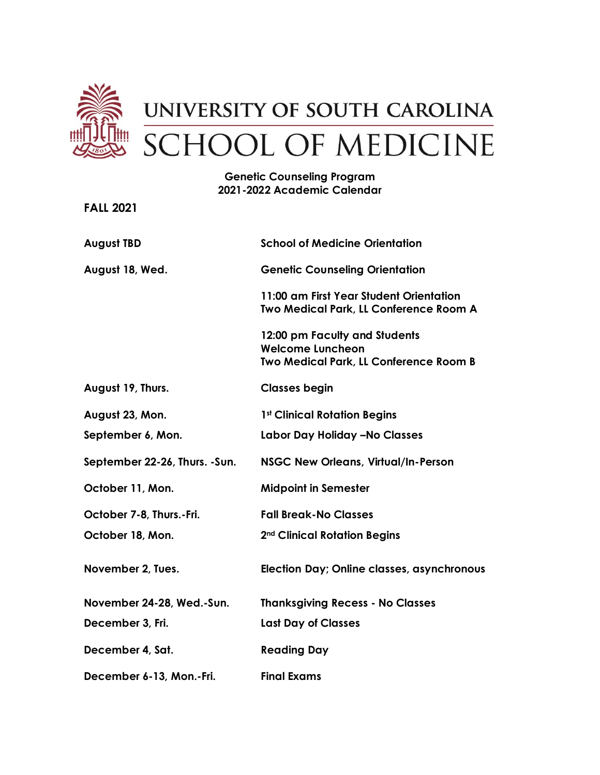

## **Genetic Counseling Program 2021-2022 Academic Calendar**

**FALL 2021 August TBD August 18, Wed. August 19, Thurs. August 23, Mon. School of Medicine Orientation Genetic Counseling Orientation 11:00 am First Year Student Orientation Two Medical Park, LL Conference Room A 12:00 pm Faculty and Students Welcome Luncheon Two Medical Park, LL Conference Room B Classes begin 1st Clinical Rotation Begins September 6, Mon. September 22-26, Thurs. -Sun. October 11, Mon. October 7-8, Thurs.-Fri. Labor Day Holiday –No Classes NSGC New Orleans, Virtual/In-Person Midpoint in Semester Fall Break-No Classes October 18, Mon. 2nd Clinical Rotation Begins November 2, Tues. Election Day; Online classes, asynchronous November 24-28, Wed.-Sun. Thanksgiving Recess - No Classes December 3, Fri. December 4, Sat. December 6-13, Mon.-Fri. Last Day of Classes Reading Day Final Exams**